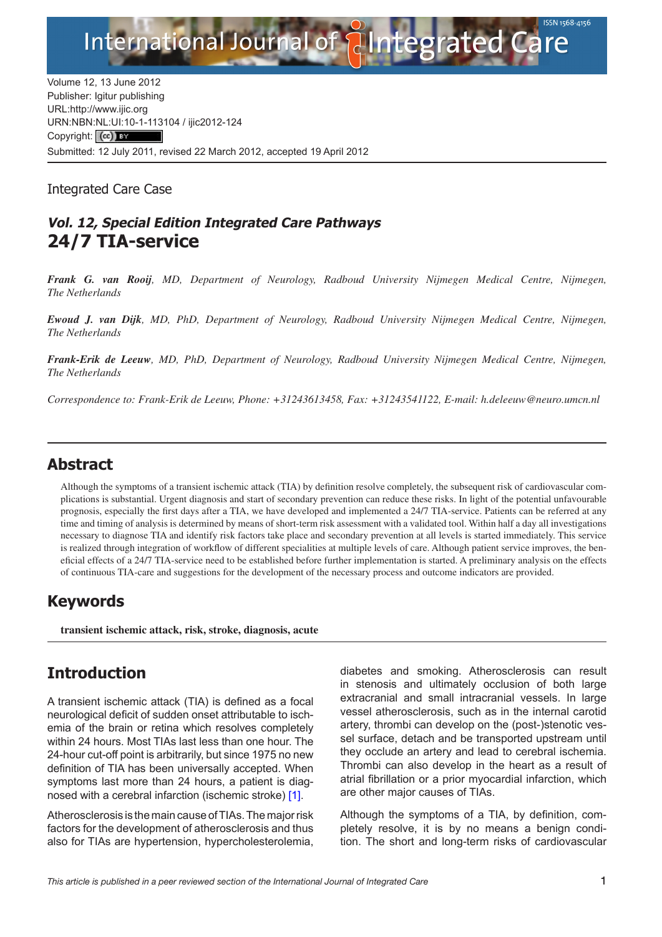

Volume 12, 13 June 2012 Publisher: Igitur publishing URL:http://www.ijic.org URN:NBN[:NL:UI:10-1-1131](http://creativecommons.org/licenses/by/3.0/)04 / ijic2012-124 Copyright: (cc) BY Submitted: 12 July 2011, revised 22 March 2012, accepted 19 April 2012

Integrated Care Case

## **Vol. 12, Special Edition Integrated Care Pathways 24/7 TIA-service**

*Frank G. van Rooij, MD, Department of Neurology, Radboud University Nijmegen Medical Centre, Nijmegen, The Netherlands*

*Ewoud J. van Dijk, MD, PhD, Department of Neurology, Radboud University Nijmegen Medical Centre, Nijmegen, The Netherlands*

*Frank-Erik de Leeuw, MD, PhD, Department of Neurology, Radboud University Nijmegen Medical Centre, Nijmegen, The Netherlands*

*Correspondence to: Frank-Erik de Leeuw, Phone: +31243613458, Fax: +31243541122, E-mail: h.deleeuw@[neuro.umcn.nl](mailto:h.deleeuw@neuro.umcn.nl)*

## **Abstract**

Although the symptoms of a transient ischemic attack (TIA) by definition resolve completely, the subsequent risk of cardiovascular complications is substantial. Urgent diagnosis and start of secondary prevention can reduce these risks. In light of the potential unfavourable prognosis, especially the first days after a TIA, we have developed and implemented a 24/7 TIA-service. Patients can be referred at any time and timing of analysis is determined by means of short-term risk assessment with a validated tool. Within half a day all investigations necessary to diagnose TIA and identify risk factors take place and secondary prevention at all levels is started immediately. This service is realized through integration of workflow of different specialities at multiple levels of care. Although patient service improves, the beneficial effects of a 24/7 TIA-service need to be established before further implementation is started. A preliminary analysis on the effects of continuous TIA-care and suggestions for the development of the necessary process and outcome indicators are provided.

## **Keywords**

**transient ischemic attack, risk, stroke, diagnosis, acute**

## **Introduction**

A transient ischemic attack (TIA) is defined as a focal neurological deficit of sudden onset attributable to ischemia of the brain or retina which resolves completely within 24 hours. Most TIAs last less than one hour. The 24-hour cut-off point is arbitrarily, but since 1975 no new definition of TIA has been universally accepted. When symptoms last more than 24 hours, a patient is diagnosed with a cerebral infarction (ischemic stroke) [\[1\]](#page-5-0).

Atherosclerosis is the main cause of TIAs. The major risk factors for the development of atherosclerosis and thus also for TIAs are hypertension, hypercholesterolemia,

diabetes and smoking. Atherosclerosis can result in stenosis and ultimately occlusion of both large extracranial and small intracranial vessels. In large vessel atherosclerosis, such as in the internal carotid artery, thrombi can develop on the (post-)stenotic vessel surface, detach and be transported upstream until they occlude an artery and lead to cerebral ischemia. Thrombi can also develop in the heart as a result of atrial fibrillation or a prior myocardial infarction, which are other major causes of TIAs.

Although the symptoms of a TIA, by definition, completely resolve, it is by no means a benign condition. The short and long-term risks of cardiovascular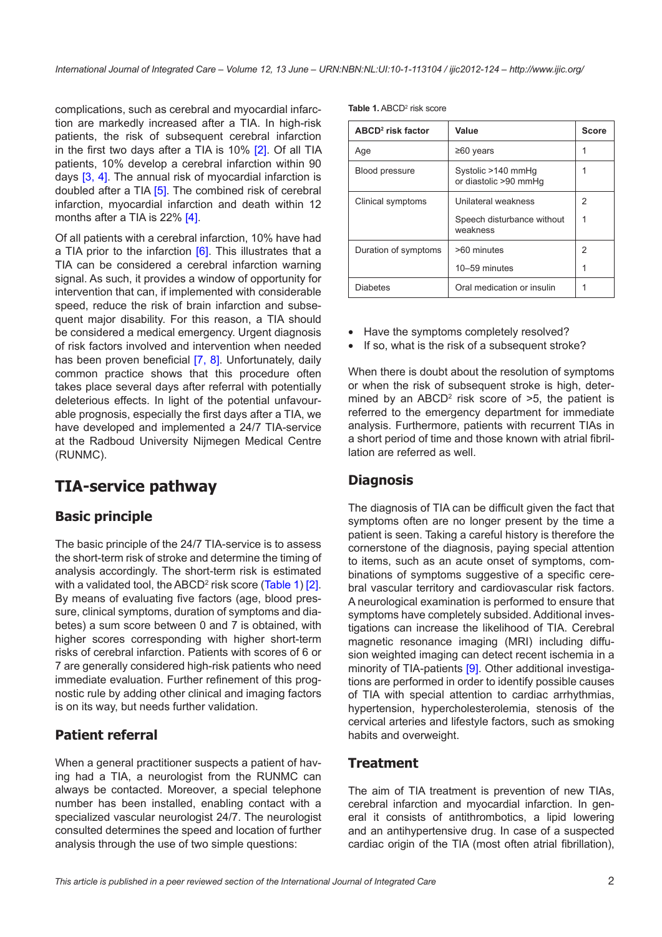complications, such as cerebral and myocardial infarction are markedly increased after a TIA. In high-risk patients, the risk of subsequent cerebral infarction in the first two days after a TIA is 10% [\[2\]](#page-5-0). Of all TIA patients, 10% develop a cerebral infarction within 90 days [\[3,](#page-5-0) [4\]](#page-5-0). The annual risk of myocardial infarction is doubled after a TIA [\[5](#page-5-0)]. The combined risk of cerebral infarction, myocardial infarction and death within 12 months after a TIA is 22% [\[4\].](#page-5-0)

Of all patients with a cerebral infarction, 10% have had a TIA prior to the infarction [\[6\]](#page-5-0). This illustrates that a TIA can be considered a cerebral infarction warning signal. As such, it provides a window of opportunity for intervention that can, if implemented with considerable speed, reduce the risk of brain infarction and subsequent major disability. For this reason, a TIA should be considered a medical emergency. Urgent diagnosis of risk factors involved and intervention when needed has been proven beneficial [\[7,](#page-5-0) [8\]](#page-5-0). Unfortunately, daily common practice shows that this procedure often takes place several days after referral with potentially deleterious effects. In light of the potential unfavourable prognosis, especially the first days after a TIA, we have developed and implemented a 24/7 TIA-service at the Radboud University Nijmegen Medical Centre (RUNMC).

# **TIA-service pathway**

## **Basic principle**

The basic principle of the 24/7 TIA-service is to assess the short-term risk of stroke and determine the timing of analysis accordingly. The short-term risk is estimated with a validated tool, the ABCD<sup>2</sup> risk score ([Table 1\)](#page-1-0) [\[2\]](#page-5-0). By means of evaluating five factors (age, blood pressure, clinical symptoms, duration of symptoms and diabetes) a sum score between 0 and 7 is obtained, with higher scores corresponding with higher short-term risks of cerebral infarction. Patients with scores of 6 or 7 are generally considered high-risk patients who need immediate evaluation. Further refinement of this prognostic rule by adding other clinical and imaging factors is on its way, but needs further validation.

## **Patient referral**

When a general practitioner suspects a patient of having had a TIA, a neurologist from the RUNMC can always be contacted. Moreover, a special telephone number has been installed, enabling contact with a specialized vascular neurologist 24/7. The neurologist consulted determines the speed and location of further analysis through the use of two simple questions:

<span id="page-1-0"></span>Table 1. ABCD<sup>2</sup> risk score

| ABCD <sup>2</sup> risk factor | Value                                       | <b>Score</b> |
|-------------------------------|---------------------------------------------|--------------|
| Age                           | ≥60 years                                   |              |
| Blood pressure                | Systolic >140 mmHq<br>or diastolic >90 mmHq |              |
| Clinical symptoms             | Unilateral weakness                         | 2            |
|                               | Speech disturbance without<br>weakness      |              |
| Duration of symptoms          | >60 minutes                                 | 2            |
|                               | 10-59 minutes                               |              |
| <b>Diabetes</b>               | Oral medication or insulin                  |              |

- Have the symptoms completely resolved?
- If so, what is the risk of a subsequent stroke?

When there is doubt about the resolution of symptoms or when the risk of subsequent stroke is high, determined by an ABCD<sup>2</sup> risk score of  $>5$ , the patient is referred to the emergency department for immediate analysis. Furthermore, patients with recurrent TIAs in a short period of time and those known with atrial fibrillation are referred as well.

### **Diagnosis**

The diagnosis of TIA can be difficult given the fact that symptoms often are no longer present by the time a patient is seen. Taking a careful history is therefore the cornerstone of the diagnosis, paying special attention to items, such as an acute onset of symptoms, combinations of symptoms suggestive of a specific cerebral vascular territory and cardiovascular risk factors. A neurological examination is performed to ensure that symptoms have completely subsided. Additional investigations can increase the likelihood of TIA. Cerebral magnetic resonance imaging (MRI) including diffusion weighted imaging can detect recent ischemia in a minority of TIA-patients [\[9\]](#page-5-0). Other additional investigations are performed in order to identify possible causes of TIA with special attention to cardiac arrhythmias, hypertension, hypercholesterolemia, stenosis of the cervical arteries and lifestyle factors, such as smoking habits and overweight.

#### **Treatment**

The aim of TIA treatment is prevention of new TIAs, cerebral infarction and myocardial infarction. In general it consists of antithrombotics, a lipid lowering and an antihypertensive drug. In case of a suspected cardiac origin of the TIA (most often atrial fibrillation),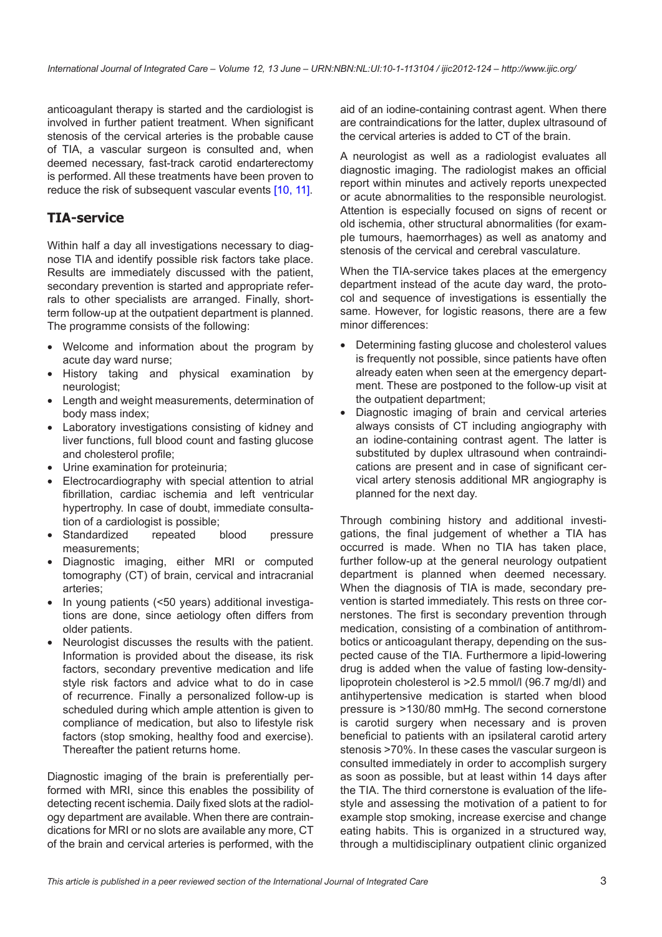anticoagulant therapy is started and the cardiologist is involved in further patient treatment. When significant stenosis of the cervical arteries is the probable cause of TIA, a vascular surgeon is consulted and, when deemed necessary, fast-track carotid endarterectomy is performed. All these treatments have been proven to reduce the risk of subsequent vascular events [\[10,](#page-5-0) [11\].](#page-6-0)

### **TIA-service**

Within half a day all investigations necessary to diagnose TIA and identify possible risk factors take place. Results are immediately discussed with the patient, secondary prevention is started and appropriate referrals to other specialists are arranged. Finally, shortterm follow-up at the outpatient department is planned. The programme consists of the following:

- Welcome and information about the program by acute day ward nurse;
- History taking and physical examination by neurologist;
- Length and weight measurements, determination of body mass index;
- Laboratory investigations consisting of kidney and liver functions, full blood count and fasting glucose and cholesterol profile;
- Urine examination for proteinuria;
- Electrocardiography with special attention to atrial fibrillation, cardiac ischemia and left ventricular hypertrophy. In case of doubt, immediate consultation of a cardiologist is possible;
- Standardized repeated blood pressure measurements;
- Diagnostic imaging, either MRI or computed tomography (CT) of brain, cervical and intracranial arteries;
- In young patients (<50 years) additional investigations are done, since aetiology often differs from older patients.
- Neurologist discusses the results with the patient. Information is provided about the disease, its risk factors, secondary preventive medication and life style risk factors and advice what to do in case of recurrence. Finally a personalized follow-up is scheduled during which ample attention is given to compliance of medication, but also to lifestyle risk factors (stop smoking, healthy food and exercise). Thereafter the patient returns home.

Diagnostic imaging of the brain is preferentially performed with MRI, since this enables the possibility of detecting recent ischemia. Daily fixed slots at the radiology department are available. When there are contraindications for MRI or no slots are available any more, CT of the brain and cervical arteries is performed, with the aid of an iodine-containing contrast agent. When there are contraindications for the latter, duplex ultrasound of the cervical arteries is added to CT of the brain.

A neurologist as well as a radiologist evaluates all diagnostic imaging. The radiologist makes an official report within minutes and actively reports unexpected or acute abnormalities to the responsible neurologist. Attention is especially focused on signs of recent or old ischemia, other structural abnormalities (for example tumours, haemorrhages) as well as anatomy and stenosis of the cervical and cerebral vasculature.

When the TIA-service takes places at the emergency department instead of the acute day ward, the protocol and sequence of investigations is essentially the same. However, for logistic reasons, there are a few minor differences:

- Determining fasting glucose and cholesterol values is frequently not possible, since patients have often already eaten when seen at the emergency department. These are postponed to the follow-up visit at the outpatient department;
- Diagnostic imaging of brain and cervical arteries always consists of CT including angiography with an iodine-containing contrast agent. The latter is substituted by duplex ultrasound when contraindications are present and in case of significant cervical artery stenosis additional MR angiography is planned for the next day.

Through combining history and additional investigations, the final judgement of whether a TIA has occurred is made. When no TIA has taken place, further follow-up at the general neurology outpatient department is planned when deemed necessary. When the diagnosis of TIA is made, secondary prevention is started immediately. This rests on three cornerstones. The first is secondary prevention through medication, consisting of a combination of antithrombotics or anticoagulant therapy, depending on the suspected cause of the TIA. Furthermore a lipid-lowering drug is added when the value of fasting low-densitylipoprotein cholesterol is >2.5 mmol/l (96.7 mg/dl) and antihypertensive medication is started when blood pressure is >130/80 mmHg. The second cornerstone is carotid surgery when necessary and is proven beneficial to patients with an ipsilateral carotid artery stenosis >70%. In these cases the vascular surgeon is consulted immediately in order to accomplish surgery as soon as possible, but at least within 14 days after the TIA. The third cornerstone is evaluation of the lifestyle and assessing the motivation of a patient to for example stop smoking, increase exercise and change eating habits. This is organized in a structured way, through a multidisciplinary outpatient clinic organized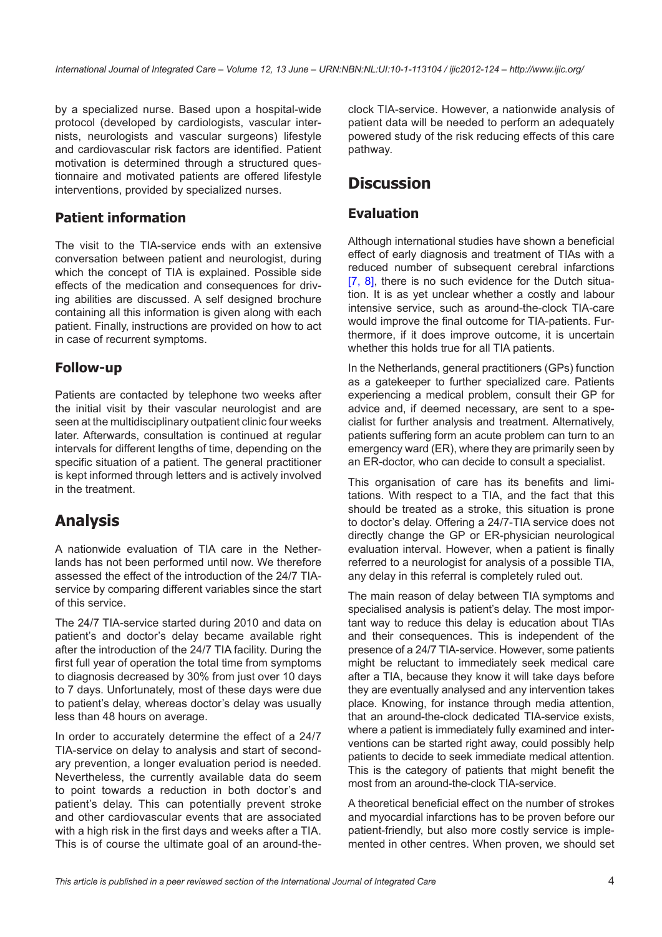by a specialized nurse. Based upon a hospital-wide protocol (developed by cardiologists, vascular internists, neurologists and vascular surgeons) lifestyle and cardiovascular risk factors are identified. Patient motivation is determined through a structured questionnaire and motivated patients are offered lifestyle interventions, provided by specialized nurses.

## **Patient information**

The visit to the TIA-service ends with an extensive conversation between patient and neurologist, during which the concept of TIA is explained. Possible side effects of the medication and consequences for driving abilities are discussed. A self designed brochure containing all this information is given along with each patient. Finally, instructions are provided on how to act in case of recurrent symptoms.

#### **Follow-up**

Patients are contacted by telephone two weeks after the initial visit by their vascular neurologist and are seen at the multidisciplinary outpatient clinic four weeks later. Afterwards, consultation is continued at regular intervals for different lengths of time, depending on the specific situation of a patient. The general practitioner is kept informed through letters and is actively involved in the treatment.

# **Analysis**

A nationwide evaluation of TIA care in the Netherlands has not been performed until now. We therefore assessed the effect of the introduction of the 24/7 TIAservice by comparing different variables since the start of this service.

The 24/7 TIA-service started during 2010 and data on patient's and doctor's delay became available right after the introduction of the 24/7 TIA facility. During the first full year of operation the total time from symptoms to diagnosis decreased by 30% from just over 10 days to 7 days. Unfortunately, most of these days were due to patient's delay, whereas doctor's delay was usually less than 48 hours on average.

In order to accurately determine the effect of a 24/7 TIA-service on delay to analysis and start of secondary prevention, a longer evaluation period is needed. Nevertheless, the currently available data do seem to point towards a reduction in both doctor's and patient's delay. This can potentially prevent stroke and other cardiovascular events that are associated with a high risk in the first days and weeks after a TIA. This is of course the ultimate goal of an around-the-

clock TIA-service. However, a nationwide analysis of patient data will be needed to perform an adequately powered study of the risk reducing effects of this care pathway.

# **Discussion**

### **Evaluation**

Although international studies have shown a beneficial effect of early diagnosis and treatment of TIAs with a reduced number of subsequent cerebral infarctions [\[7,](#page-5-0) [8\]](#page-5-0), there is no such evidence for the Dutch situation. It is as yet unclear whether a costly and labour intensive service, such as around-the-clock TIA-care would improve the final outcome for TIA-patients. Furthermore, if it does improve outcome, it is uncertain whether this holds true for all TIA patients.

In the Netherlands, general practitioners (GPs) function as a gatekeeper to further specialized care. Patients experiencing a medical problem, consult their GP for advice and, if deemed necessary, are sent to a specialist for further analysis and treatment. Alternatively, patients suffering form an acute problem can turn to an emergency ward (ER), where they are primarily seen by an ER-doctor, who can decide to consult a specialist.

This organisation of care has its benefits and limitations. With respect to a TIA, and the fact that this should be treated as a stroke, this situation is prone to doctor's delay. Offering a 24/7-TIA service does not directly change the GP or ER-physician neurological evaluation interval. However, when a patient is finally referred to a neurologist for analysis of a possible TIA, any delay in this referral is completely ruled out.

The main reason of delay between TIA symptoms and specialised analysis is patient's delay. The most important way to reduce this delay is education about TIAs and their consequences. This is independent of the presence of a 24/7 TIA-service. However, some patients might be reluctant to immediately seek medical care after a TIA, because they know it will take days before they are eventually analysed and any intervention takes place. Knowing, for instance through media attention, that an around-the-clock dedicated TIA-service exists, where a patient is immediately fully examined and interventions can be started right away, could possibly help patients to decide to seek immediate medical attention. This is the category of patients that might benefit the most from an around-the-clock TIA-service.

A theoretical beneficial effect on the number of strokes and myocardial infarctions has to be proven before our patient-friendly, but also more costly service is implemented in other centres. When proven, we should set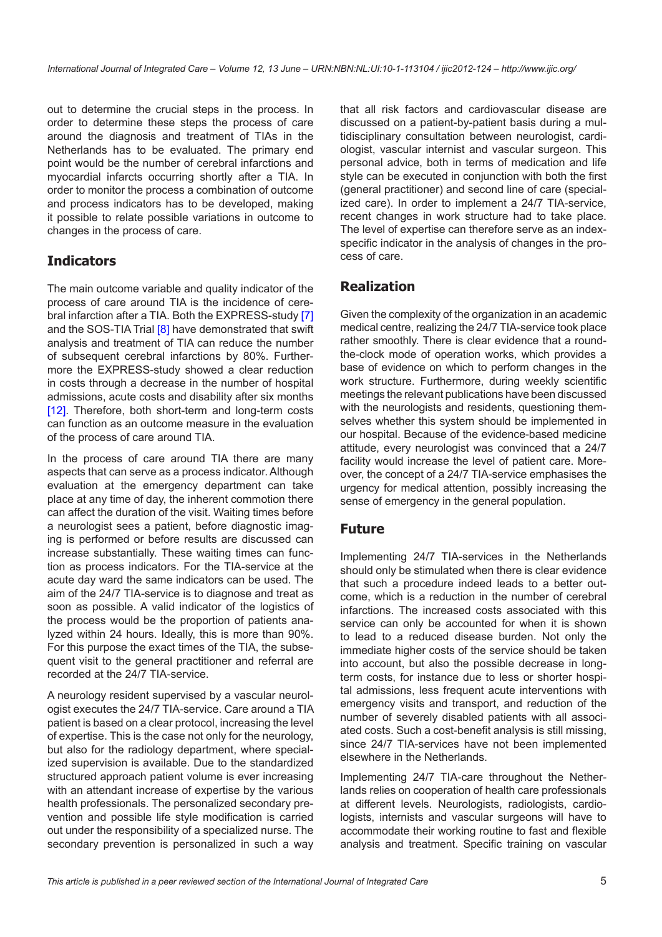out to determine the crucial steps in the process. In order to determine these steps the process of care around the diagnosis and treatment of TIAs in the Netherlands has to be evaluated. The primary end point would be the number of cerebral infarctions and myocardial infarcts occurring shortly after a TIA. In order to monitor the process a combination of outcome and process indicators has to be developed, making it possible to relate possible variations in outcome to changes in the process of care.

### **Indicators**

The main outcome variable and quality indicator of the process of care around TIA is the incidence of cerebral infarction after a TIA. Both the EXPRESS-study [\[7](#page-5-0)] and the SOS-TIA Trial [\[8\]](#page-5-0) have demonstrated that swift analysis and treatment of TIA can reduce the number of subsequent cerebral infarctions by 80%. Furthermore the EXPRESS-study showed a clear reduction in costs through a decrease in the number of hospital admissions, acute costs and disability after six months [\[12\]](#page-6-0). Therefore, both short-term and long-term costs can function as an outcome measure in the evaluation of the process of care around TIA.

In the process of care around TIA there are many aspects that can serve as a process indicator. Although evaluation at the emergency department can take place at any time of day, the inherent commotion there can affect the duration of the visit. Waiting times before a neurologist sees a patient, before diagnostic imaging is performed or before results are discussed can increase substantially. These waiting times can function as process indicators. For the TIA-service at the acute day ward the same indicators can be used. The aim of the 24/7 TIA-service is to diagnose and treat as soon as possible. A valid indicator of the logistics of the process would be the proportion of patients analyzed within 24 hours. Ideally, this is more than 90%. For this purpose the exact times of the TIA, the subsequent visit to the general practitioner and referral are recorded at the 24/7 TIA-service.

A neurology resident supervised by a vascular neurologist executes the 24/7 TIA-service. Care around a TIA patient is based on a clear protocol, increasing the level of expertise. This is the case not only for the neurology, but also for the radiology department, where specialized supervision is available. Due to the standardized structured approach patient volume is ever increasing with an attendant increase of expertise by the various health professionals. The personalized secondary prevention and possible life style modification is carried out under the responsibility of a specialized nurse. The secondary prevention is personalized in such a way

that all risk factors and cardiovascular disease are discussed on a patient-by-patient basis during a multidisciplinary consultation between neurologist, cardiologist, vascular internist and vascular surgeon. This personal advice, both in terms of medication and life style can be executed in conjunction with both the first (general practitioner) and second line of care (specialized care). In order to implement a 24/7 TIA-service, recent changes in work structure had to take place. The level of expertise can therefore serve as an indexspecific indicator in the analysis of changes in the process of care.

### **Realization**

Given the complexity of the organization in an academic medical centre, realizing the 24/7 TIA-service took place rather smoothly. There is clear evidence that a roundthe-clock mode of operation works, which provides a base of evidence on which to perform changes in the work structure. Furthermore, during weekly scientific meetings the relevant publications have been discussed with the neurologists and residents, questioning themselves whether this system should be implemented in our hospital. Because of the evidence-based medicine attitude, every neurologist was convinced that a 24/7 facility would increase the level of patient care. Moreover, the concept of a 24/7 TIA-service emphasises the urgency for medical attention, possibly increasing the sense of emergency in the general population.

#### **Future**

Implementing 24/7 TIA-services in the Netherlands should only be stimulated when there is clear evidence that such a procedure indeed leads to a better outcome, which is a reduction in the number of cerebral infarctions. The increased costs associated with this service can only be accounted for when it is shown to lead to a reduced disease burden. Not only the immediate higher costs of the service should be taken into account, but also the possible decrease in longterm costs, for instance due to less or shorter hospital admissions, less frequent acute interventions with emergency visits and transport, and reduction of the number of severely disabled patients with all associated costs. Such a cost-benefit analysis is still missing, since 24/7 TIA-services have not been implemented elsewhere in the Netherlands.

Implementing 24/7 TIA-care throughout the Netherlands relies on cooperation of health care professionals at different levels. Neurologists, radiologists, cardiologists, internists and vascular surgeons will have to accommodate their working routine to fast and flexible analysis and treatment. Specific training on vascular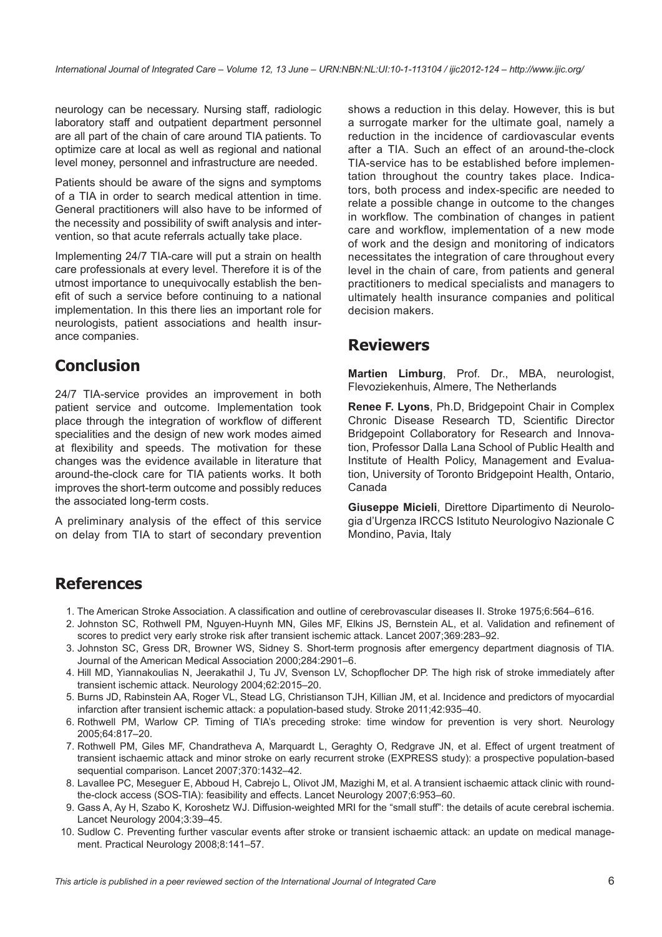<span id="page-5-0"></span>neurology can be necessary. Nursing staff, radiologic laboratory staff and outpatient department personnel are all part of the chain of care around TIA patients. To optimize care at local as well as regional and national level money, personnel and infrastructure are needed.

Patients should be aware of the signs and symptoms of a TIA in order to search medical attention in time. General practitioners will also have to be informed of the necessity and possibility of swift analysis and intervention, so that acute referrals actually take place.

Implementing 24/7 TIA-care will put a strain on health care professionals at every level. Therefore it is of the utmost importance to unequivocally establish the benefit of such a service before continuing to a national implementation. In this there lies an important role for neurologists, patient associations and health insurance companies.

# **Conclusion**

24/7 TIA-service provides an improvement in both patient service and outcome. Implementation took place through the integration of workflow of different specialities and the design of new work modes aimed at flexibility and speeds. The motivation for these changes was the evidence available in literature that around-the-clock care for TIA patients works. It both improves the short-term outcome and possibly reduces the associated long-term costs.

A preliminary analysis of the effect of this service on delay from TIA to start of secondary prevention

shows a reduction in this delay. However, this is but a surrogate marker for the ultimate goal, namely a reduction in the incidence of cardiovascular events after a TIA. Such an effect of an around-the-clock TIA-service has to be established before implementation throughout the country takes place. Indicators, both process and index-specific are needed to relate a possible change in outcome to the changes in workflow. The combination of changes in patient care and workflow, implementation of a new mode of work and the design and monitoring of indicators necessitates the integration of care throughout every level in the chain of care, from patients and general practitioners to medical specialists and managers to ultimately health insurance companies and political decision makers.

## **Reviewers**

**Martien Limburg**, Prof. Dr., MBA, neurologist, Flevoziekenhuis, Almere, The Netherlands

**Renee F. Lyons**, Ph.D, Bridgepoint Chair in Complex Chronic Disease Research TD, Scientific Director Bridgepoint Collaboratory for Research and Innovation, Professor Dalla Lana School of Public Health and Institute of Health Policy, Management and Evaluation, University of Toronto Bridgepoint Health, Ontario, Canada

**Giuseppe Micieli**, Direttore Dipartimento di Neurologia d'Urgenza IRCCS Istituto Neurologivo Nazionale C Mondino, Pavia, Italy

# **References**

- 1. The American Stroke Association. A classification and outline of cerebrovascular diseases II. Stroke 1975;6:564–616.
- 2. Johnston SC, Rothwell PM, Nguyen-Huynh MN, Giles MF, Elkins JS, Bernstein AL, et al. Validation and refinement of scores to predict very early stroke risk after transient ischemic attack. Lancet 2007;369:283–92.
- 3. Johnston SC, Gress DR, Browner WS, Sidney S. Short-term prognosis after emergency department diagnosis of TIA. Journal of the American Medical Association 2000;284:2901–6.
- 4. Hill MD, Yiannakoulias N, Jeerakathil J, Tu JV, Svenson LV, Schopflocher DP. The high risk of stroke immediately after transient ischemic attack. Neurology 2004;62:2015–20.
- 5. Burns JD, Rabinstein AA, Roger VL, Stead LG, Christianson TJH, Killian JM, et al. Incidence and predictors of myocardial infarction after transient ischemic attack: a population-based study. Stroke 2011;42:935–40.
- 6. Rothwell PM, Warlow CP. Timing of TIA's preceding stroke: time window for prevention is very short. Neurology 2005;64:817–20.
- 7. Rothwell PM, Giles MF, Chandratheva A, Marquardt L, Geraghty O, Redgrave JN, et al. Effect of urgent treatment of transient ischaemic attack and minor stroke on early recurrent stroke (EXPRESS study): a prospective population-based sequential comparison. Lancet 2007;370:1432–42.
- 8. Lavallee PC, Meseguer E, Abboud H, Cabrejo L, Olivot JM, Mazighi M, et al. A transient ischaemic attack clinic with roundthe-clock access (SOS-TIA): feasibility and effects. Lancet Neurology 2007;6:953–60.
- 9. Gass A, Ay H, Szabo K, Koroshetz WJ. Diffusion-weighted MRI for the "small stuff": the details of acute cerebral ischemia. Lancet Neurology 2004;3:39–45.
- 10. Sudlow C. Preventing further vascular events after stroke or transient ischaemic attack: an update on medical management. Practical Neurology 2008;8:141–57.